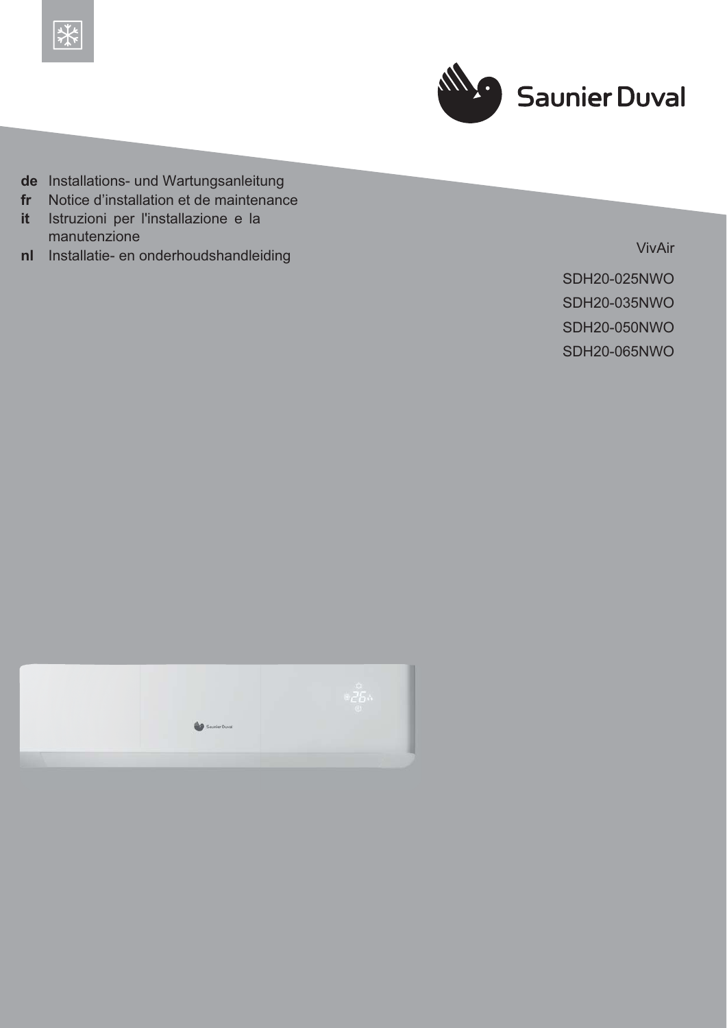



- de Installations- und Wartungsanleitung
- Notice d'installation et de maintenance  $fr$
- Istruzioni per l'installazione e la *it* manutenzione
- Installatie- en onderhoudshandleiding  $n<sub>l</sub>$

VivAir

**SDH20-025NWO SDH20-035NWO SDH20-050NWO SDH20-065NWO** 

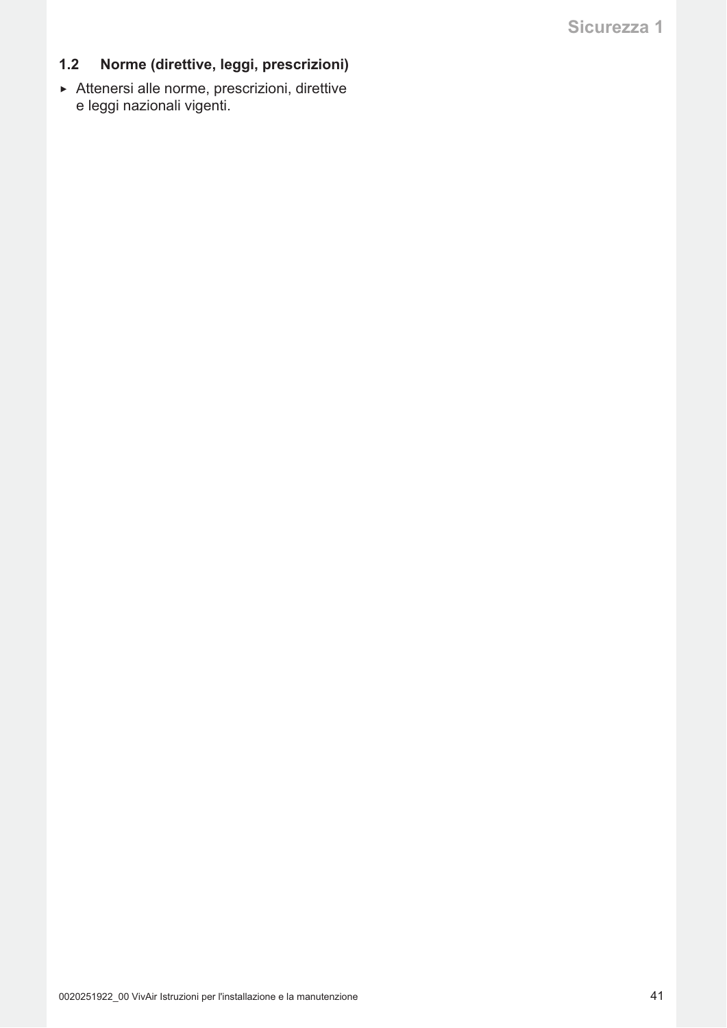## Sicurezza 1

### $1.2$ Norme (direttive, leggi, prescrizioni)

Attenersi alle norme, prescrizioni, direttive e leggi nazionali vigenti.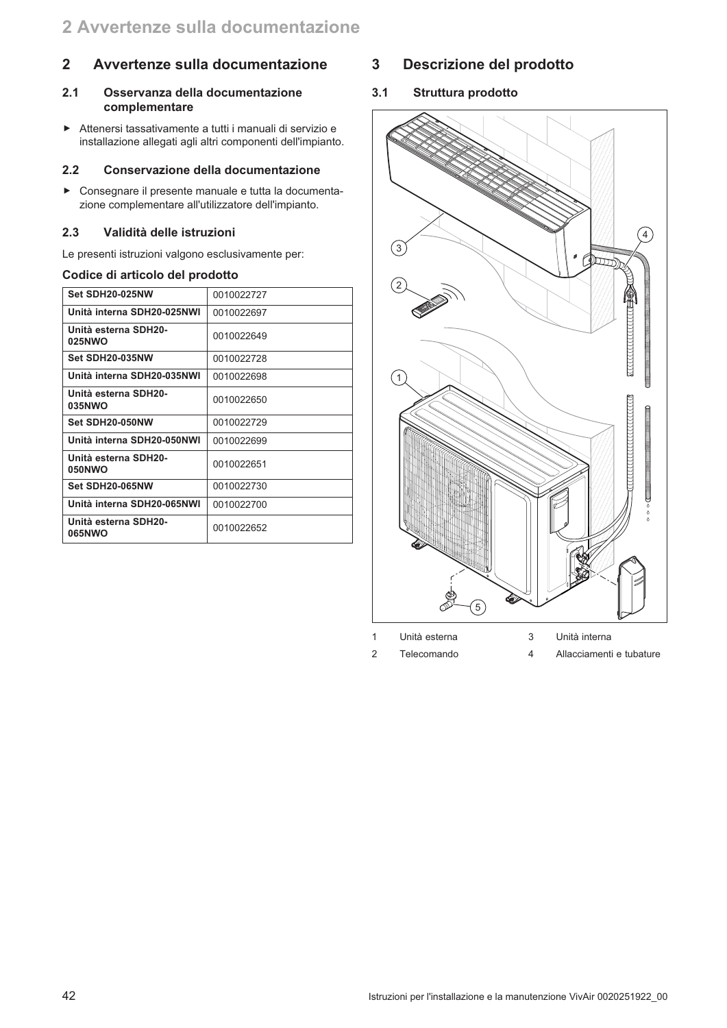### $\overline{2}$ Avvertenze sulla documentazione

### $2.1$ Osservanza della documentazione complementare

Attenersi tassativamente a tutti i manuali di servizio e installazione allegati agli altri componenti dell'impianto.

#### $2.2$ Conservazione della documentazione

Consegnare il presente manuale e tutta la documentazione complementare all'utilizzatore dell'impianto.

#### $2.3$ Validità delle istruzioni

Le presenti istruzioni valgono esclusivamente per:

### Codice di articolo del prodotto

| Set SDH20-025NW                | 0010022727 |
|--------------------------------|------------|
| Unità interna SDH20-025NWI     | 0010022697 |
| Unità esterna SDH20-<br>025NWO | 0010022649 |
| Set SDH20-035NW                | 0010022728 |
| Unità interna SDH20-035NWI     | 0010022698 |
| Unità esterna SDH20-<br>035NWO | 0010022650 |
| Set SDH20-050NW                | 0010022729 |
| Unità interna SDH20-050NWI     | 0010022699 |
| Unità esterna SDH20-<br>050NWO | 0010022651 |
| Set SDH20-065NW                | 0010022730 |
| Unità interna SDH20-065NWI     | 0010022700 |
| Unità esterna SDH20-<br>065NWO | 0010022652 |

### $\overline{3}$ Descrizione del prodotto

 $3.1$ Struttura prodotto



 $\overline{2}$ Telecomando  $\overline{4}$ Allacciamenti e tubature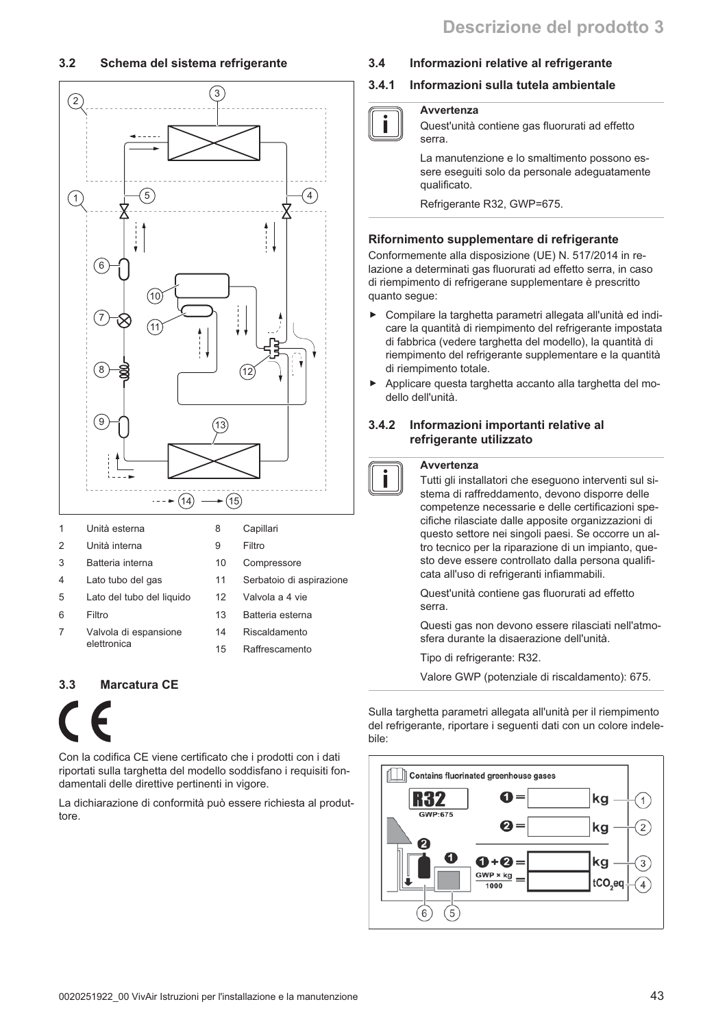#### $3.2$ Schema del sistema refrigerante



|   | Unita esterna             | Ο  | Gapillari                |
|---|---------------------------|----|--------------------------|
| 2 | Unità interna             | 9  | Filtro                   |
| 3 | Batteria interna          | 10 | Compressore              |
| 4 | Lato tubo del gas         | 11 | Serbatoio di aspirazione |
| 5 | Lato del tubo del liguido | 12 | Valvola a 4 vie          |
| 6 | Filtro                    | 13 | Batteria esterna         |
| 7 | Valvola di espansione     | 14 | Riscaldamento            |
|   | elettronica               | 15 | Raffrescamento           |
|   |                           |    |                          |
|   |                           |    |                          |

#### **Marcatura CE**  $3<sub>3</sub>$



Con la codifica CE viene certificato che i prodotti con i dati riportati sulla targhetta del modello soddisfano i requisiti fondamentali delle direttive pertinenti in vigore.

La dichiarazione di conformità può essere richiesta al produttore.

#### $3.4$ Informazioni relative al refrigerante

#### $3.4.1$ Informazioni sulla tutela ambientale

## Awertenza

| Avvertei |
|----------|
| Quest'un |
| serra.   |
| La manu  |

nità contiene gas fluorurati ad effetto

tenzione e lo smaltimento possono essere eseguiti solo da personale adequatamente qualificato.

Refrigerante R32, GWP=675.

### Rifornimento supplementare di refrigerante

Conformemente alla disposizione (UE) N. 517/2014 in relazione a determinati gas fluorurati ad effetto serra, in caso di riempimento di refrigerane supplementare è prescritto quanto seque:

- Compilare la targhetta parametri allegata all'unità ed indicare la quantità di riempimento del refrigerante impostata di fabbrica (vedere targhetta del modello), la quantità di riempimento del refrigerante supplementare e la quantità di riempimento totale.
- Applicare questa targhetta accanto alla targhetta del modello dell'unità.

### $3.4.2$ Informazioni importanti relative al refrigerante utilizzato

### Avvertenza

i

Tutti gli installatori che eseguono interventi sul sistema di raffreddamento, devono disporre delle competenze necessarie e delle certificazioni specifiche rilasciate dalle apposite organizzazioni di questo settore nei singoli paesi. Se occorre un altro tecnico per la riparazione di un impianto, questo deve essere controllato dalla persona qualificata all'uso di refrigeranti infiammabili.

Quest'unità contiene gas fluorurati ad effetto serra.

Questi gas non devono essere rilasciati nell'atmosfera durante la disaerazione dell'unità.

Tipo di refrigerante: R32.

Valore GWP (potenziale di riscaldamento): 675.

Sulla targhetta parametri allegata all'unità per il riempimento del refrigerante, riportare i seguenti dati con un colore indelebile:

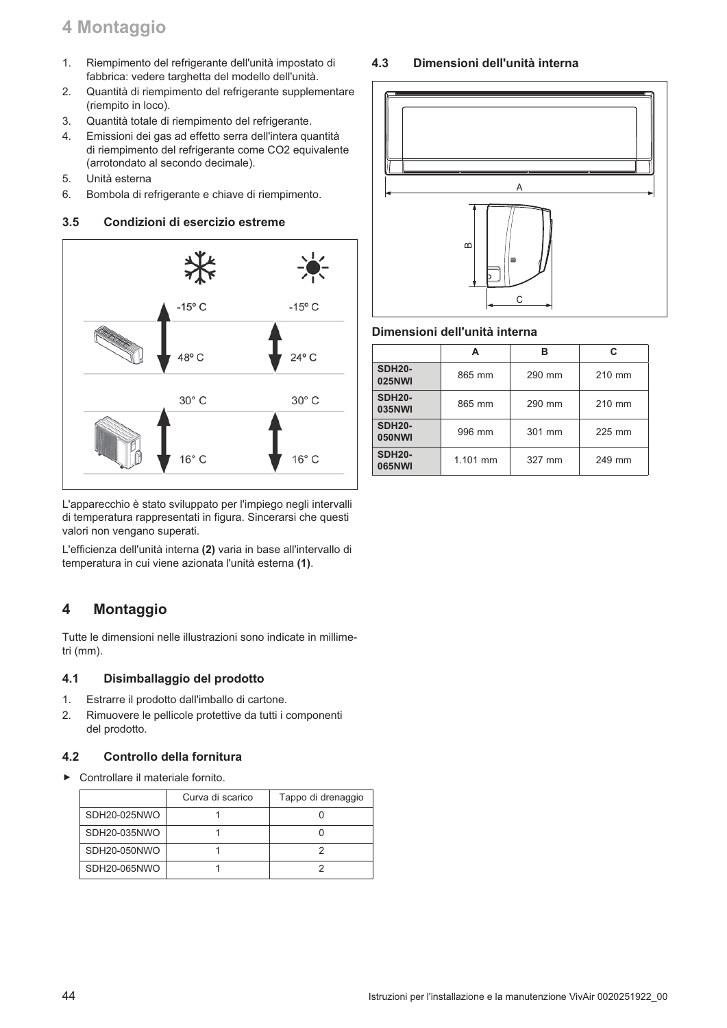## 4 Montaggio

- Riempimento del refrigerante dell'unità impostato di  $1.$ fabbrica: vedere targhetta del modello dell'unità.
- $2.$ Quantità di riempimento del refrigerante supplementare (riempito in loco).
- $3<sub>l</sub>$ Quantità totale di riempimento del refrigerante.
- $4.$ Emissioni dei gas ad effetto serra dell'intera quantità di riempimento del refrigerante come CO2 equivalente (arrotondato al secondo decimale).
- 5. Unità esterna
- Bombola di refrigerante e chiave di riempimento. 6.

#### $3.5$ Condizioni di esercizio estreme



L'apparecchio è stato sviluppato per l'impiego negli intervalli di temperatura rappresentati in figura. Sincerarsi che questi valori non vengano superati.

L'efficienza dell'unità interna (2) varia in base all'intervallo di temperatura in cui viene azionata l'unità esterna (1).

### $\overline{\mathbf{4}}$ **Montaggio**

Tutte le dimensioni nelle illustrazioni sono indicate in millimetri (mm).

#### $4.1$ Disimballaggio del prodotto

- $1<sub>1</sub>$ Estrarre il prodotto dall'imballo di cartone.
- $2.$ Rimuovere le pellicole protettive da tutti i componenti del prodotto.

#### Controllo della fornitura  $4.2$

Controllare il materiale fornito.  $\blacktriangleright$ 

|              | Curva di scarico | Tappo di drenaggio |
|--------------|------------------|--------------------|
| SDH20-025NWO |                  |                    |
| SDH20-035NWO |                  |                    |
| SDH20-050NWO |                  |                    |
| SDH20-065NWO |                  |                    |

#### $4.3$ Dimensioni dell'unità interna



### Dimensioni dell'unità interna

|                                | А        | R      | C.     |  |
|--------------------------------|----------|--------|--------|--|
| <b>SDH20-</b><br><b>025NWI</b> | 865 mm   | 290 mm | 210 mm |  |
| <b>SDH20-</b><br><b>035NWI</b> | 865 mm   | 290 mm | 210 mm |  |
| <b>SDH20-</b><br><b>050NWI</b> | 996 mm   | 301 mm | 225 mm |  |
| <b>SDH20-</b><br><b>065NWI</b> | 1.101 mm | 327 mm | 249 mm |  |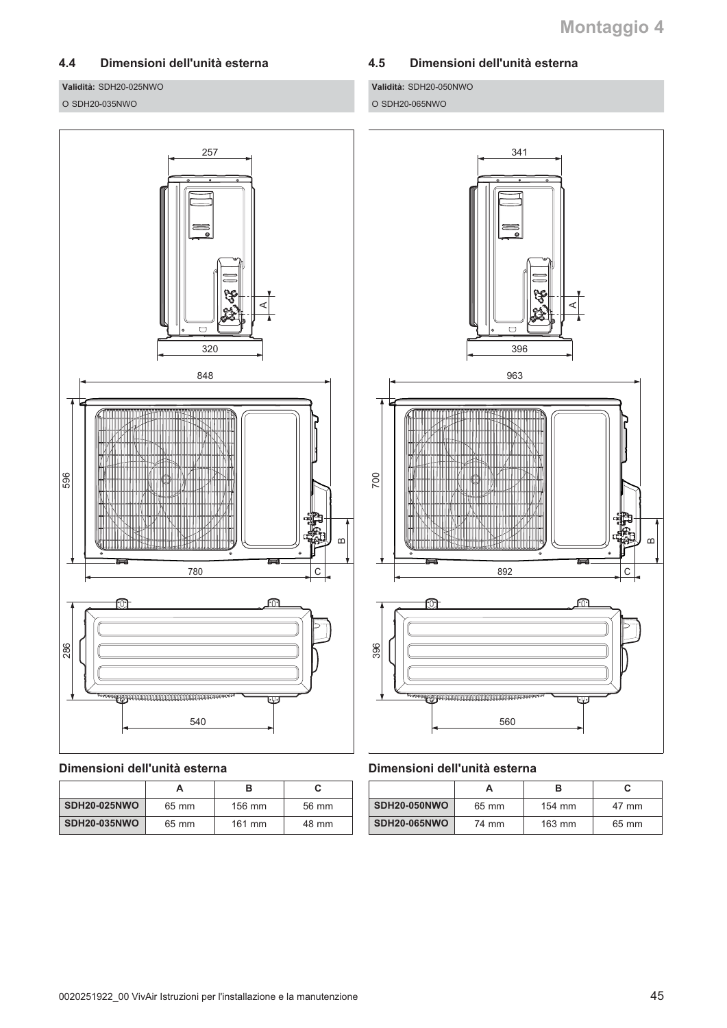### $4.4$ Dimensioni dell'unità esterna

Validità: SDH20-025NWO

### O SDH20-035NWO



Validità: SDH20-050NWO O SDH20-065NWO



## Dimensioni dell'unità esterna

| <b>SDH20-025NWO</b> | 65 mm | $156 \text{ mm}$ | 56 mm |  |
|---------------------|-------|------------------|-------|--|
| <b>SDH20-035NWO</b> | 65 mm | $161$ mm         | 48 mm |  |



### Dimensioni dell'unità esterna

| SDH20-050NWO        | 65 mm | $154 \text{ mm}$ | 47 mm |
|---------------------|-------|------------------|-------|
| <b>SDH20-065NWO</b> | 74 mm | $163 \text{ mm}$ | 65 mm |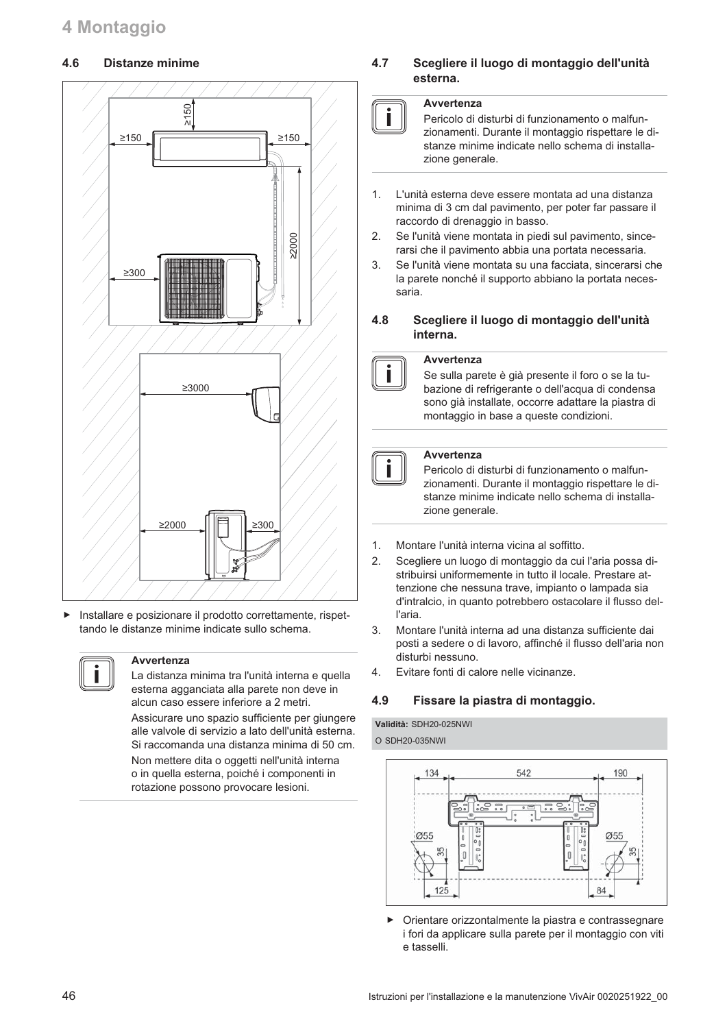#### $4.6$ Distanze minime



Installare e posizionare il prodotto correttamente, rispettando le distanze minime indicate sullo schema.



### Avvertenza

La distanza minima tra l'unità interna e quella esterna agganciata alla parete non deve in alcun caso essere inferiore a 2 metri. Assicurare uno spazio sufficiente per giungere alle valvole di servizio a lato dell'unità esterna.

Si raccomanda una distanza minima di 50 cm Non mettere dita o oggetti nell'unità interna o in quella esterna, poiché i componenti in

rotazione possono provocare lesioni.

### 4.7 Scegliere il luogo di montaggio dell'unità esterna.

### Avvertenza

Pericolo di disturbi di funzionamento o malfunzionamenti. Durante il montaggio rispettare le distanze minime indicate nello schema di installazione generale.

- L'unità esterna deve essere montata ad una distanza  $1<sub>1</sub>$ minima di 3 cm dal pavimento, per poter far passare il raccordo di drenaggio in basso.
- Se l'unità viene montata in piedi sul pavimento, since- $2.$ rarsi che il pavimento abbia una portata necessaria.
- $3.$ Se l'unità viene montata su una facciata, sincerarsi che la parete nonché il supporto abbiano la portata necessaria.

### 4.8 Scegliere il luogo di montaggio dell'unità interna.



### Avvertenza

Se sulla parete è già presente il foro o se la tubazione di refrigerante o dell'acqua di condensa sono già installate, occorre adattare la piastra di montaggio in base a queste condizioni.

### Avvertenza

Pericolo di disturbi di funzionamento o malfunzionamenti. Durante il montaggio rispettare le distanze minime indicate nello schema di installazione generale.

- $1<sub>1</sub>$ Montare l'unità interna vicina al soffitto.
- $2.$ Scegliere un luogo di montaggio da cui l'aria possa distribuirsi uniformemente in tutto il locale. Prestare attenzione che nessuna trave, impianto o lampada sia d'intralcio, in quanto potrebbero ostacolare il flusso dell'aria.
- 3. Montare l'unità interna ad una distanza sufficiente dai posti a sedere o di lavoro, affinché il flusso dell'aria non disturbi nessuno.
- $4.$ Evitare fonti di calore nelle vicinanze.

#### 4.9 Fissare la piastra di montaggio.

Validità: SDH20-025NWI O SDH20-035NWI



ь Orientare orizzontalmente la piastra e contrassegnare i fori da applicare sulla parete per il montaggio con viti e tasselli.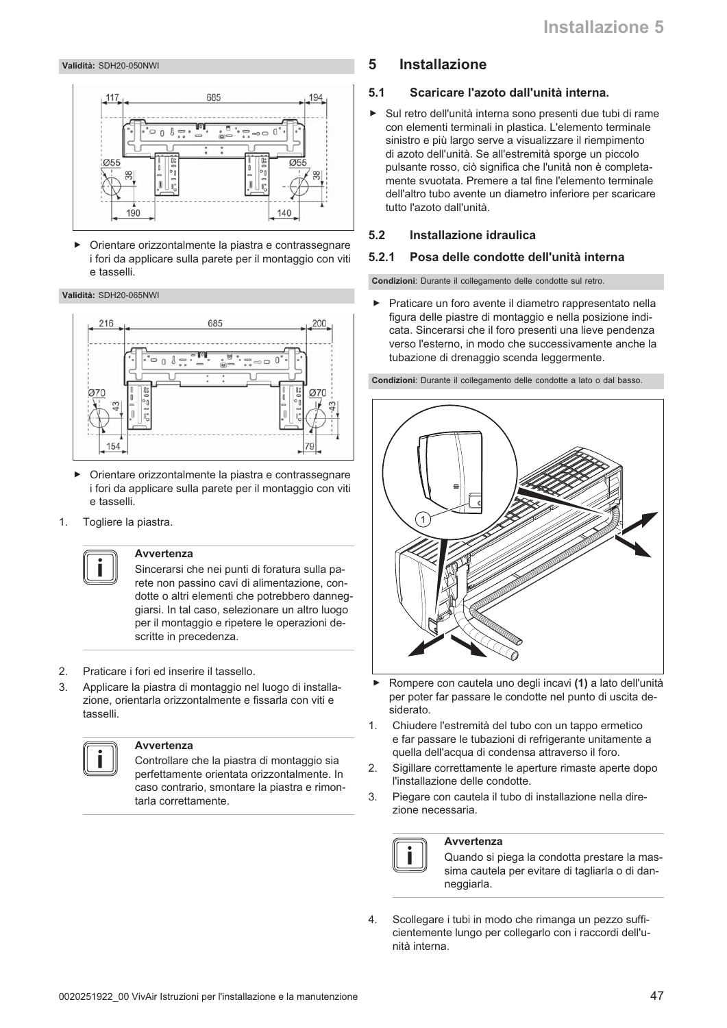### Validità: SDH20-050NWI



Orientare orizzontalmente la piastra e contrassegnare  $\blacktriangleright$ i fori da applicare sulla parete per il montaggio con viti illezeat e

### Validità: SDH20-065NWI



- $\blacktriangleright$ Orientare orizzontalmente la piastra e contrassegnare i fori da applicare sulla parete per il montaggio con viti e tasselli.
- Togliere la piastra.  $\mathbf{1}$



### **Avvertenza**

Sincerarsi che nei punti di foratura sulla parete non passino cavi di alimentazione, condotte o altri elementi che potrebbero danneggiarsi. In tal caso, selezionare un altro luogo per il montaggio e ripetere le operazioni descritte in precedenza.

- $\mathfrak{D}$ Praticare i fori ed inserire il tassello.
- Applicare la piastra di montaggio nel luogo di installa- $\mathcal{B}$ zione, orientarla orizzontalmente e fissarla con viti e tasselli.



### **A**wartonza

Controllare che la piastra di montaggio sia perfettamente orientata orizzontalmente. In caso contrario, smontare la piastra e rimontarla correttamente.

#### 5 **Installazione**

#### $5.1$ Scaricare l'azoto dall'unità interna.

> Sul retro dell'unità interna sono presenti due tubi di rame con elementi terminali in plastica. L'elemento terminale sinistro e più largo serve a visualizzare il riempimento di azoto dell'unità. Se all'estremità sporge un piccolo pulsante rosso, ciò significa che l'unità non è completamente svuotata. Premere a tal fine l'elemento terminale dell'altro tubo avente un diametro inferiore per scaricare tutto l'azoto dall'unità.

#### $5.2$ Installazione idraulica

#### Posa delle condotte dell'unità interna  $5.2.1$

Condizioni: Durante il collegamento delle condotte sul retro.

 $\blacktriangleright$ Praticare un foro avente il diametro rappresentato nella figura delle piastre di montaggio e nella posizione indicata. Sincerarsi che il foro presenti una lieve pendenza verso l'esterno, in modo che successivamente anche la tubazione di drenaggio scenda leggermente.

Condizioni: Durante il collegamento delle condotte a lato o dal basso.



- Rompere con cautela uno degli incavi (1) a lato dell'unità per poter far passare le condotte nel punto di uscita desiderato.
- $1.$ Chiudere l'estremità del tubo con un tappo ermetico e far passare le tubazioni di refrigerante unitamente a quella dell'acqua di condensa attraverso il foro.
- Sigillare correttamente le aperture rimaste aperte dopo  $2.$ l'installazione delle condotte.
- 3. Piegare con cautela il tubo di installazione nella direzione necessaria.

### **Avvertenza**

Quando si piega la condotta prestare la massima cautela per evitare di tagliarla o di danneggiarla.

 $\overline{4}$ . Scollegare i tubi in modo che rimanga un pezzo sufficientemente lungo per collegarlo con i raccordi dell'unità interna.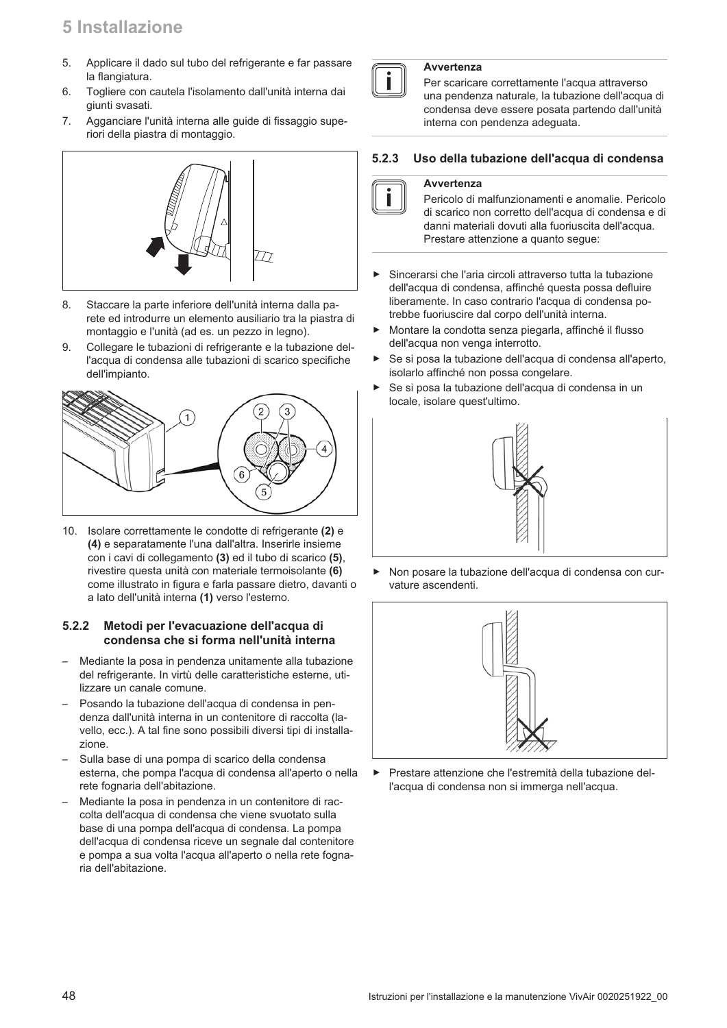## 5 Installazione

- 5. Applicare il dado sul tubo del refrigerante e far passare la flangiatura.
- Togliere con cautela l'isolamento dall'unità interna dai  $6 \overline{6}$ giunti svasati.
- $\overline{7}$ . Agganciare l'unità interna alle guide di fissaggio superiori della piastra di montaggio.



- 8. Staccare la parte inferiore dell'unità interna dalla parete ed introdurre un elemento ausiliario tra la piastra di montaggio e l'unità (ad es. un pezzo in legno).
- Collegare le tubazioni di refrigerante e la tubazione del-9. l'acqua di condensa alle tubazioni di scarico specifiche dell'impianto.



10. Isolare correttamente le condotte di refrigerante (2) e (4) e separatamente l'una dall'altra. Inserirle insieme con i cavi di collegamento (3) ed il tubo di scarico (5), rivestire questa unità con materiale termoisolante (6) come illustrato in figura e farla passare dietro, davanti o a lato dell'unità interna (1) verso l'esterno.

### $5.2.2$ Metodi per l'evacuazione dell'acqua di condensa che si forma nell'unità interna

- Mediante la posa in pendenza unitamente alla tubazione del refrigerante. In virtù delle caratteristiche esterne, utilizzare un canale comune.
- Posando la tubazione dell'acqua di condensa in pendenza dall'unità interna in un contenitore di raccolta (lavello, ecc.). A tal fine sono possibili diversi tipi di installazione.
- Sulla base di una pompa di scarico della condensa esterna, che pompa l'acqua di condensa all'aperto o nella rete fognaria dell'abitazione.
- Mediante la posa in pendenza in un contenitore di raccolta dell'acqua di condensa che viene svuotato sulla base di una pompa dell'acqua di condensa. La pompa dell'acqua di condensa riceve un segnale dal contenitore e pompa a sua volta l'acqua all'aperto o nella rete fognaria dell'abitazione



### Avvertenza

Per scaricare correttamente l'acqua attraverso una pendenza naturale, la tubazione dell'acqua di condensa deve essere posata partendo dall'unità interna con pendenza adeguata.

#### Uso della tubazione dell'acqua di condensa  $5.2.3$

### Avvertenza

Pericolo di malfunzionamenti e anomalie. Pericolo di scarico non corretto dell'acqua di condensa e di danni materiali dovuti alla fuoriuscita dell'acqua. Prestare attenzione a quanto segue:

- Sincerarsi che l'aria circoli attraverso tutta la tubazione  $\mathbf{r}$ dell'acqua di condensa, affinché questa possa defluire liberamente. In caso contrario l'acqua di condensa potrebbe fuoriuscire dal corpo dell'unità interna.
- $\blacktriangleright$ Montare la condotta senza piegarla, affinché il flusso dell'acqua non venga interrotto.
- Se si posa la tubazione dell'acqua di condensa all'aperto. ь isolarlo affinché non possa congelare.
- ь Se si posa la tubazione dell'acqua di condensa in un locale, isolare quest'ultimo.



Non posare la tubazione dell'acqua di condensa con curvature ascendenti.



Prestare attenzione che l'estremità della tubazione delь l'acqua di condensa non si immerga nell'acqua.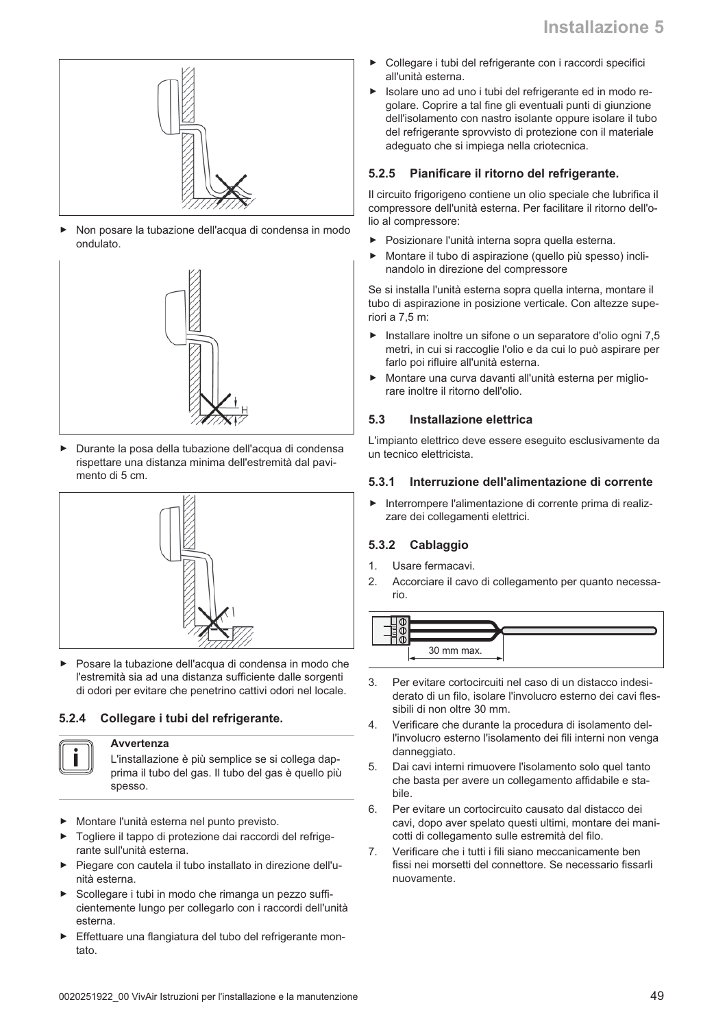

Non posare la tubazione dell'acqua di condensa in modo ondulato.



Durante la posa della tubazione dell'acqua di condensa rispettare una distanza minima dell'estremità dal pavimento di 5 cm.



Posare la tubazione dell'acqua di condensa in modo che l'estremità sia ad una distanza sufficiente dalle sorgenti di odori per evitare che penetrino cattivi odori nel locale.

#### $5.2.4$ Collegare i tubi del refrigerante.

### **Avvertenza**

L'installazione è più semplice se si collega dapprima il tubo del gas. Il tubo del gas è quello più spesso.

- Montare l'unità esterna nel punto previsto.
- Togliere il tappo di protezione dai raccordi del refrigerante sull'unità esterna.
- Piegare con cautela il tubo installato in direzione dell'unità esterna.
- Scollegare i tubi in modo che rimanga un pezzo sufficientemente lungo per collegarlo con i raccordi dell'unità esterna.
- Effettuare una flangiatura del tubo del refrigerante mon $t$ ato
- Collegare i tubi del refrigerante con i raccordi specifici all'unità esterna.
- Isolare uno ad uno i tubi del refrigerante ed in modo regolare. Coprire a tal fine gli eventuali punti di giunzione dell'isolamento con nastro isolante oppure isolare il tubo del refrigerante sprovvisto di protezione con il materiale adeguato che si impiega nella criotecnica.

#### Pianificare il ritorno del refrigerante.  $5.2.5$

Il circuito frigorigeno contiene un olio speciale che lubrifica il compressore dell'unità esterna. Per facilitare il ritorno dell'olio al compressore:

- $\blacktriangleright$ Posizionare l'unità interna sopra quella esterna.
- Montare il tubo di aspirazione (quello più spesso) inclinandolo in direzione del compressore

Se si installa l'unità esterna sopra quella interna, montare il tubo di aspirazione in posizione verticale. Con altezze superiori a 7.5 m:

- Installare inoltre un sifone o un separatore d'olio ogni 7,5 metri, in cui si raccoglie l'olio e da cui lo può aspirare per farlo poi rifluire all'unità esterna.
- Montare una curva davanti all'unità esterna per miglio- $\blacktriangleright$ rare inoltre il ritorno dell'olio.

#### $5.3$ Installazione elettrica

L'impianto elettrico deve essere eseguito esclusivamente da un tecnico elettricista.

#### Interruzione dell'alimentazione di corrente  $5.3.1$

Interrompere l'alimentazione di corrente prima di realizzare dei collegamenti elettrici.

### 5.3.2 Cablaggio

- $1.$ Usare fermacavi.
- 2. Accorciare il cavo di collegamento per quanto necessario.



- 3. Per evitare cortocircuiti nel caso di un distacco indesiderato di un filo, isolare l'involucro esterno dei cavi flessibili di non oltre 30 mm.
- Verificare che durante la procedura di isolamento del- $\overline{4}$ l'involucro esterno l'isolamento dei fili interni non venga danneggiato.
- 5. Dai cavi interni rimuovere l'isolamento solo quel tanto che basta per avere un collegamento affidabile e stahile
- Per evitare un cortocircuito causato dal distacco dei ĥ. cavi, dopo aver spelato questi ultimi, montare dei manicotti di collegamento sulle estremità del filo.
- Verificare che i tutti i fili siano meccanicamente ben 7. fissi nei morsetti del connettore. Se necessario fissarli nuovamente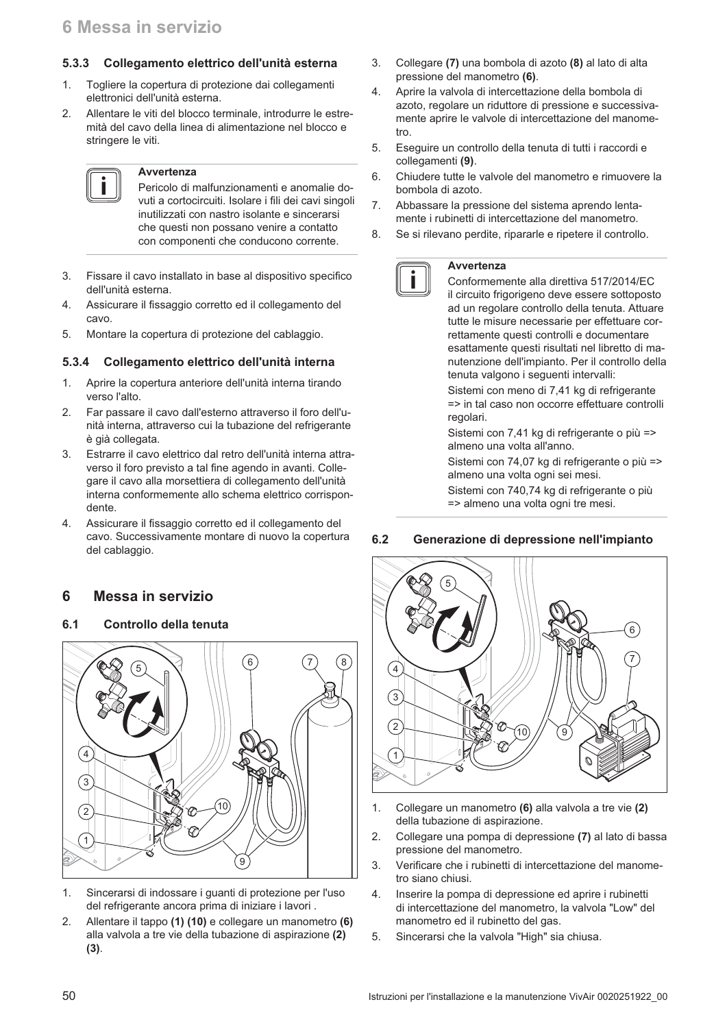### 5.3.3 Collegamento elettrico dell'unità esterna

- 1. Togliere la copertura di protezione dai collegamenti elettronici dell'unità esterna.
- Allentare le viti del blocco terminale, introdurre le estre- $\mathcal{D}$ mità del cavo della linea di alimentazione nel blocco e stringere le viti.

## Avvertenza

Pericolo di malfunzionamenti e anomalie dovuti a cortocircuiti. Isolare i fili dei cavi singoli inutilizzati con nastro isolante e sincerarsi che questi non possano venire a contatto con componenti che conducono corrente.

- $\mathcal{S}$ Fissare il cavo installato in base al dispositivo specifico dell'unità esterna.
- $\overline{4}$ Assicurare il fissaggio corretto ed il collegamento del cavo
- Montare la copertura di protezione del cablaggio. 5.

#### Collegamento elettrico dell'unità interna  $5.3.4$

- $\mathbf{1}$ Aprire la copertura anteriore dell'unità interna tirando verso l'alto.
- Far passare il cavo dall'esterno attraverso il foro dell'u- $2<sub>1</sub>$ nità interna, attraverso cui la tubazione del refrigerante è già collegata.
- Estrarre il cavo elettrico dal retro dell'unità interna attra-3. verso il foro previsto a tal fine agendo in avanti. Collegare il cavo alla morsettiera di collegamento dell'unità interna conformemente allo schema elettrico corrispondente
- $\overline{4}$ Assicurare il fissaggio corretto ed il collegamento del cavo. Successivamente montare di nuovo la copertura del cablaggio.

#### 6 Messa in servizio

#### $6.1$ Controllo della tenuta



- $1<sup>1</sup>$ Sincerarsi di indossare i guanti di protezione per l'uso del refrigerante ancora prima di iniziare i lavori.
- $2.$ Allentare il tappo (1) (10) e collegare un manometro (6) alla valvola a tre vie della tubazione di aspirazione (2)  $(3).$
- $3<sub>1</sub>$ Collegare (7) una bombola di azoto (8) al lato di alta pressione del manometro (6).
- $\overline{4}$ . Aprire la valvola di intercettazione della bombola di azoto, regolare un riduttore di pressione e successivamente aprire le valvole di intercettazione del manome $tr<sub>O</sub>$
- 5. Eseguire un controllo della tenuta di tutti i raccordi e collegamenti (9).
- 6. Chiudere tutte le valvole del manometro e rimuovere la bombola di azoto.
- $7.$ Abbassare la pressione del sistema aprendo lentamente i rubinetti di intercettazione del manometro.
- Se si rilevano perdite, ripararle e ripetere il controllo. 8.

### Avvertenza

i

Conformemente alla direttiva 517/2014/EC il circuito frigorigeno deve essere sottoposto ad un regolare controllo della tenuta. Attuare tutte le misure necessarie per effettuare correttamente questi controlli e documentare esattamente questi risultati nel libretto di manutenzione dell'impianto. Per il controllo della tenuta valgono i seguenti intervalli:

Sistemi con meno di 7,41 kg di refrigerante => in tal caso non occorre effettuare controlli regolari.

Sistemi con 7,41 kg di refrigerante o più => almeno una volta all'anno.

Sistemi con 74,07 kg di refrigerante o più => almeno una volta ogni sei mesi.

Sistemi con 740,74 kg di refrigerante o più => almeno una volta ogni tre mesi.

#### $6.2$ Generazione di depressione nell'impianto



- 1. Collegare un manometro (6) alla valvola a tre vie (2) della tubazione di aspirazione.
- $\overline{2}$ . Collegare una pompa di depressione (7) al lato di bassa pressione del manometro.
- $\overline{3}$ . Verificare che i rubinetti di intercettazione del manometro siano chiusi.
- $\overline{4}$ . Inserire la pompa di depressione ed aprire i rubinetti di intercettazione del manometro, la valvola "Low" del manometro ed il rubinetto del gas.
- 5. Sincerarsi che la valvola "High" sia chiusa.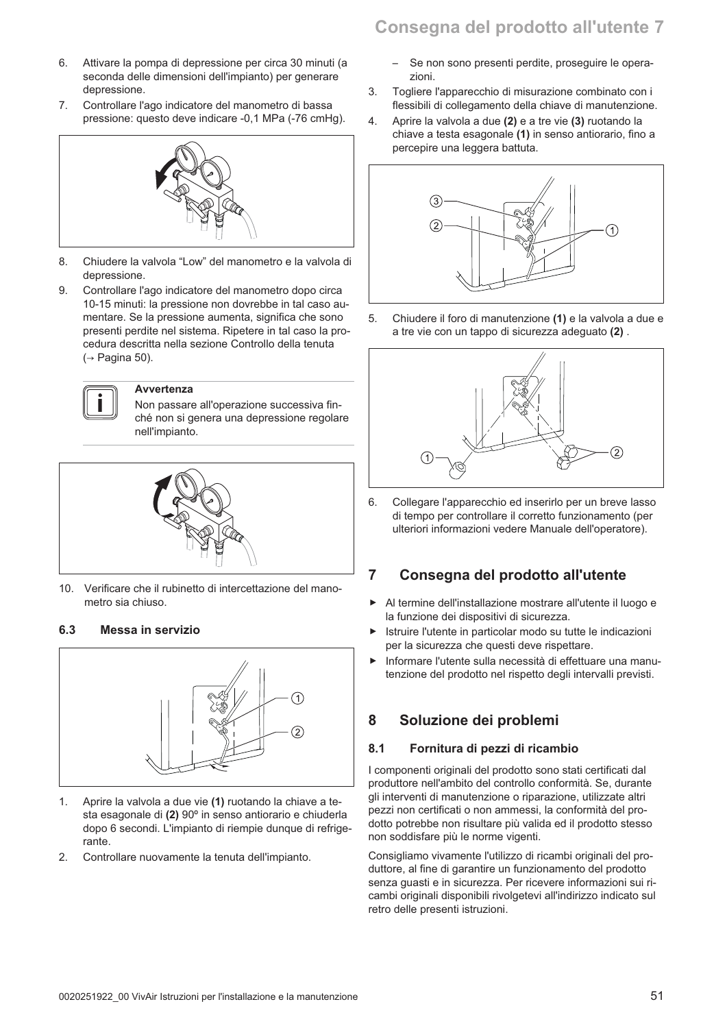## Consegna del prodotto all'utente 7

- $6.$ Attivare la pompa di depressione per circa 30 minuti (a seconda delle dimensioni dell'impianto) per generare depressione.
- Controllare l'ago indicatore del manometro di bassa  $7.$ pressione: questo deve indicare -0,1 MPa (-76 cmHq).

- 8. Chiudere la valvola "Low" del manometro e la valvola di depressione.
- Controllare l'ago indicatore del manometro dopo circa 9 10-15 minuti: la pressione non dovrebbe in tal caso aumentare. Se la pressione aumenta, significa che sono presenti perdite nel sistema. Ripetere in tal caso la procedura descritta nella sezione Controllo della tenuta  $\rightarrow$  Pagina 50).



### **Avvertenza**

Non passare all'operazione successiva finché non si genera una depressione regolare nell'impianto.



 $10.$ Verificare che il rubinetto di intercettazione del manometro sia chiuso.

#### 6.3 Messa in servizio



- $\mathbf{1}$ Aprire la valvola a due vie (1) ruotando la chiave a testa esagonale di (2) 90° in senso antiorario e chiuderla dopo 6 secondi. L'impianto di riempie dunque di refrigerante.
- $\mathcal{P}$ Controllare nuovamente la tenuta dell'impianto.
- $\equiv$ Se non sono presenti perdite, proseguire le operazioni.
- Togliere l'apparecchio di misurazione combinato con i  $\mathcal{S}$ flessibili di collegamento della chiave di manutenzione.
- Aprire la valvola a due (2) e a tre vie (3) ruotando la 4. chiave a testa esagonale (1) in senso antiorario, fino a percepire una leggera battuta.



5. Chiudere il foro di manutenzione (1) e la valvola a due e a tre vie con un tappo di sicurezza adeguato (2).



6. Collegare l'apparecchio ed inserirlo per un breve lasso di tempo per controllare il corretto funzionamento (per ulteriori informazioni vedere Manuale dell'operatore).

### $\overline{7}$ Consegna del prodotto all'utente

- Al termine dell'installazione mostrare all'utente il luogo e la funzione dei dispositivi di sicurezza.
- Istruire l'utente in particolar modo su tutte le indicazioni per la sicurezza che questi deve rispettare.
- Informare l'utente sulla necessità di effettuare una manutenzione del prodotto nel rispetto degli intervalli previsti.

### 8 Soluzione dei problemi

#### $8.1$ Fornitura di pezzi di ricambio

I componenti originali del prodotto sono stati certificati dal produttore nell'ambito del controllo conformità. Se, durante gli interventi di manutenzione o riparazione, utilizzate altri pezzi non certificati o non ammessi, la conformità del prodotto potrebbe non risultare più valida ed il prodotto stesso non soddisfare più le norme vigenti.

Consigliamo vivamente l'utilizzo di ricambi originali del produttore, al fine di garantire un funzionamento del prodotto senza guasti e in sicurezza. Per ricevere informazioni sui ricambi originali disponibili rivolgetevi all'indirizzo indicato sul retro delle presenti istruzioni.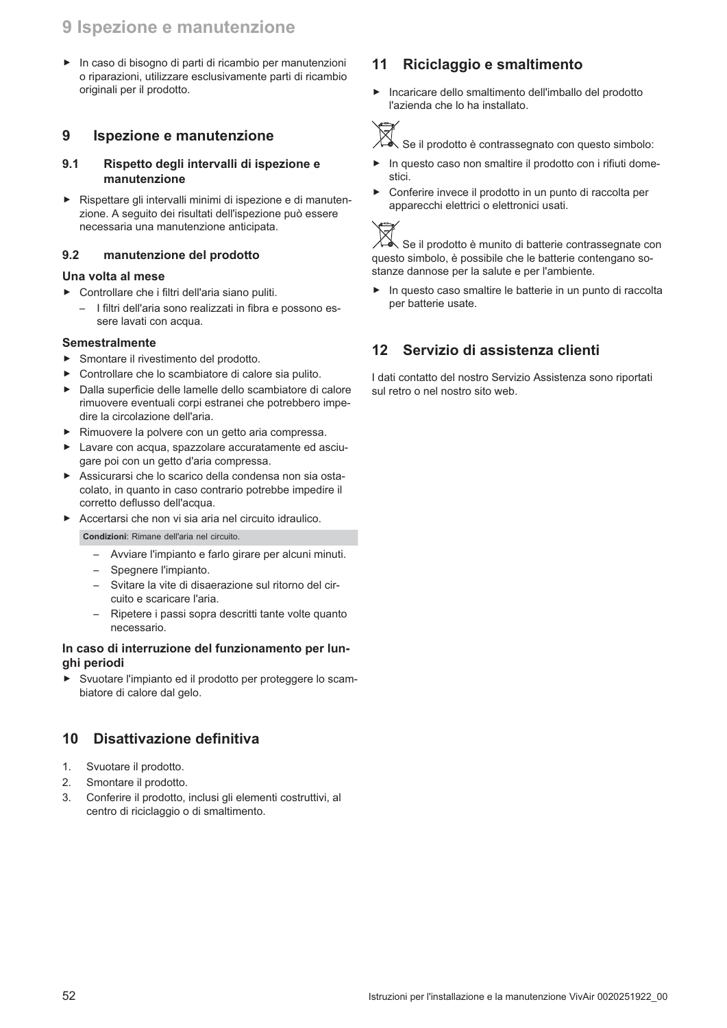## 9 Ispezione e manutenzione

In caso di bisogno di parti di ricambio per manutenzioni o riparazioni, utilizzare esclusivamente parti di ricambio originali per il prodotto.

### 9 Ispezione e manutenzione

### $9.1$ Rispetto degli intervalli di ispezione e manutenzione

Rispettare gli intervalli minimi di ispezione e di manutenzione. A seguito dei risultati dell'ispezione può essere necessaria una manutenzione anticipata.

#### $9.2$ manutenzione del prodotto

### Una volta al mese

- > Controllare che i filtri dell'aria siano puliti.
	- I filtri dell'aria sono realizzati in fibra e possono essere lavati con acqua.

### **Semestralmente**

- Smontare il rivestimento del prodotto.  $\blacksquare$
- Controllare che lo scambiatore di calore sia pulito.
- Dalla superficie delle lamelle dello scambiatore di calore rimuovere eventuali corpi estranei che potrebbero impedire la circolazione dell'aria.
- Rimuovere la polvere con un getto aria compressa.
- Lavare con acqua, spazzolare accuratamente ed asciugare poi con un getto d'aria compressa.
- Assicurarsi che lo scarico della condensa non sia ostacolato, in quanto in caso contrario potrebbe impedire il corretto deflusso dell'acqua.
- Accertarsi che non vi sia aria nel circuito idraulico.

Condizioni: Rimane dell'aria nel circuito.

- Avviare l'impianto e farlo girare per alcuni minuti.
- Spegnere l'impianto.
- Svitare la vite di disaerazione sul ritorno del circuito e scaricare l'aria.
- Ripetere i passi sopra descritti tante volte quanto necessario.

### In caso di interruzione del funzionamento per lunghi periodi

Svuotare l'impianto ed il prodotto per proteggere lo scam-Ы biatore di calore dal gelo.

### Disattivazione definitiva 10

- $1.$ Svuotare il prodotto.
- $\mathcal{P}_{\cdot}$ Smontare il prodotto.
- 3. Conferire il prodotto, inclusi gli elementi costruttivi, al centro di riciclaggio o di smaltimento.

### Riciclaggio e smaltimento  $11$

Incaricare dello smaltimento dell'imballo del prodotto  $\blacktriangleright$ l'azienda che lo ha installato.



∑{<br>√e Se il prodotto è contrassegnato con questo simbolo:

- $\blacktriangleright$ In questo caso non smaltire il prodotto con i rifiuti domestici.
- $\mathbf{r}$ Conferire invece il prodotto in un punto di raccolta per apparecchi elettrici o elettronici usati.



ふ Se il prodotto è munito di batterie contrassegnate con questo simbolo, è possibile che le batterie contengano sostanze dannose per la salute e per l'ambiente.

In questo caso smaltire le batterie in un punto di raccolta per batterie usate.

### $12$ Servizio di assistenza clienti

I dati contatto del nostro Servizio Assistenza sono riportati sul retro o nel nostro sito web.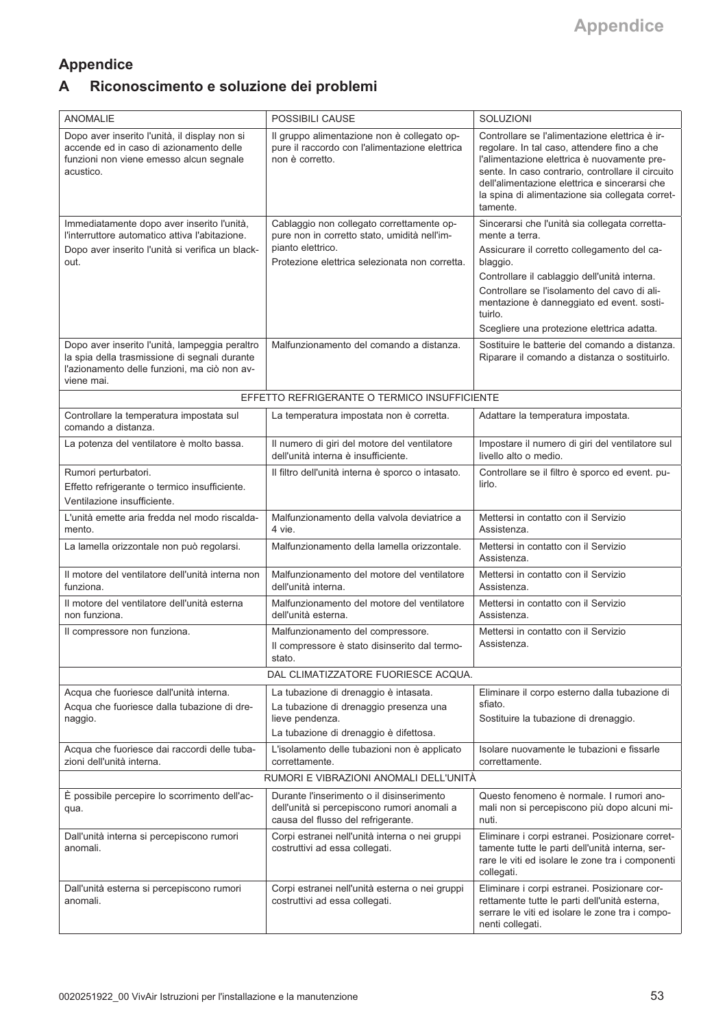### Appendice Riconoscimento e soluzione dei problemi  $\overline{\mathsf{A}}$

| <b>ANOMALIE</b>                                                                                                                                               | POSSIBILI CAUSE                                                                                                                              | SOLUZIONI                                                                                                                                                                                                                                                                                                         |
|---------------------------------------------------------------------------------------------------------------------------------------------------------------|----------------------------------------------------------------------------------------------------------------------------------------------|-------------------------------------------------------------------------------------------------------------------------------------------------------------------------------------------------------------------------------------------------------------------------------------------------------------------|
| Dopo aver inserito l'unità, il display non si<br>accende ed in caso di azionamento delle<br>funzioni non viene emesso alcun segnale<br>acustico.              | Il gruppo alimentazione non è collegato op-<br>pure il raccordo con l'alimentazione elettrica<br>non è corretto.                             | Controllare se l'alimentazione elettrica è ir-<br>regolare. In tal caso, attendere fino a che<br>l'alimentazione elettrica è nuovamente pre-<br>sente. In caso contrario, controllare il circuito<br>dell'alimentazione elettrica e sincerarsi che<br>la spina di alimentazione sia collegata corret-<br>tamente. |
| Immediatamente dopo aver inserito l'unità,<br>l'interruttore automatico attiva l'abitazione.                                                                  | Cablaggio non collegato correttamente op-<br>pure non in corretto stato, umidità nell'im-                                                    | Sincerarsi che l'unità sia collegata corretta-<br>mente a terra.                                                                                                                                                                                                                                                  |
| Dopo aver inserito l'unità si verifica un black-<br>out.                                                                                                      | pianto elettrico.<br>Protezione elettrica selezionata non corretta.                                                                          | Assicurare il corretto collegamento del ca-<br>blaggio.<br>Controllare il cablaggio dell'unità interna.<br>Controllare se l'isolamento del cavo di ali-<br>mentazione è danneggiato ed event. sosti-<br>tuirlo.<br>Scegliere una protezione elettrica adatta.                                                     |
| Dopo aver inserito l'unità, lampeggia peraltro<br>la spia della trasmissione di segnali durante<br>l'azionamento delle funzioni, ma ciò non av-<br>viene mai. | Malfunzionamento del comando a distanza.                                                                                                     | Sostituire le batterie del comando a distanza.<br>Riparare il comando a distanza o sostituirlo.                                                                                                                                                                                                                   |
|                                                                                                                                                               | EFFETTO REFRIGERANTE O TERMICO INSUFFICIENTE                                                                                                 |                                                                                                                                                                                                                                                                                                                   |
| Controllare la temperatura impostata sul<br>comando a distanza.                                                                                               | La temperatura impostata non è corretta.                                                                                                     | Adattare la temperatura impostata.                                                                                                                                                                                                                                                                                |
| La potenza del ventilatore è molto bassa.                                                                                                                     | Il numero di giri del motore del ventilatore<br>dell'unità interna è insufficiente.                                                          | Impostare il numero di giri del ventilatore sul<br>livello alto o medio.                                                                                                                                                                                                                                          |
| Rumori perturbatori.<br>Effetto refrigerante o termico insufficiente.<br>Ventilazione insufficiente.                                                          | Il filtro dell'unità interna è sporco o intasato.                                                                                            | Controllare se il filtro è sporco ed event. pu-<br>lirlo.                                                                                                                                                                                                                                                         |
| L'unità emette aria fredda nel modo riscalda-<br>mento.                                                                                                       | Malfunzionamento della valvola deviatrice a<br>4 vie.                                                                                        | Mettersi in contatto con il Servizio<br>Assistenza.                                                                                                                                                                                                                                                               |
| La lamella orizzontale non può regolarsi.                                                                                                                     | Malfunzionamento della lamella orizzontale.                                                                                                  | Mettersi in contatto con il Servizio<br>Assistenza.                                                                                                                                                                                                                                                               |
| Il motore del ventilatore dell'unità interna non<br>funziona.                                                                                                 | Malfunzionamento del motore del ventilatore<br>dell'unità interna.                                                                           | Mettersi in contatto con il Servizio<br>Assistenza.                                                                                                                                                                                                                                                               |
| Il motore del ventilatore dell'unità esterna<br>non funziona.                                                                                                 | Malfunzionamento del motore del ventilatore<br>dell'unità esterna.                                                                           | Mettersi in contatto con il Servizio<br>Assistenza.                                                                                                                                                                                                                                                               |
| Il compressore non funziona.                                                                                                                                  | Malfunzionamento del compressore.<br>Il compressore è stato disinserito dal termo-<br>stato.                                                 | Mettersi in contatto con il Servizio<br>Assistenza.                                                                                                                                                                                                                                                               |
|                                                                                                                                                               | DAL CLIMATIZZATORE FUORIESCE ACQUA.                                                                                                          |                                                                                                                                                                                                                                                                                                                   |
| Acqua che fuoriesce dall'unità interna.<br>Acqua che fuoriesce dalla tubazione di dre-<br>naggio.                                                             | La tubazione di drenaggio è intasata.<br>La tubazione di drenaggio presenza una<br>lieve pendenza.<br>La tubazione di drenaggio è difettosa. | Eliminare il corpo esterno dalla tubazione di<br>sfiato.<br>Sostituire la tubazione di drenaggio.                                                                                                                                                                                                                 |
| Acqua che fuoriesce dai raccordi delle tuba-<br>zioni dell'unità interna.                                                                                     | L'isolamento delle tubazioni non è applicato<br>correttamente.                                                                               | Isolare nuovamente le tubazioni e fissarle<br>correttamente.                                                                                                                                                                                                                                                      |
|                                                                                                                                                               | RUMORI E VIBRAZIONI ANOMALI DELL'UNITÀ                                                                                                       |                                                                                                                                                                                                                                                                                                                   |
| È possibile percepire lo scorrimento dell'ac-<br>qua.                                                                                                         | Durante l'inserimento o il disinserimento<br>dell'unità si percepiscono rumori anomali a<br>causa del flusso del refrigerante.               | Questo fenomeno è normale. I rumori ano-<br>mali non si percepiscono più dopo alcuni mi-<br>nuti.                                                                                                                                                                                                                 |
| Dall'unità interna si percepiscono rumori<br>anomali.                                                                                                         | Corpi estranei nell'unità interna o nei gruppi<br>costruttivi ad essa collegati.                                                             | Eliminare i corpi estranei. Posizionare corret-<br>tamente tutte le parti dell'unità interna, ser-<br>rare le viti ed isolare le zone tra i componenti<br>collegati.                                                                                                                                              |
| Dall'unità esterna si percepiscono rumori<br>anomali.                                                                                                         | Corpi estranei nell'unità esterna o nei gruppi<br>costruttivi ad essa collegati.                                                             | Eliminare i corpi estranei. Posizionare cor-<br>rettamente tutte le parti dell'unità esterna,<br>serrare le viti ed isolare le zone tra i compo-<br>nenti collegati.                                                                                                                                              |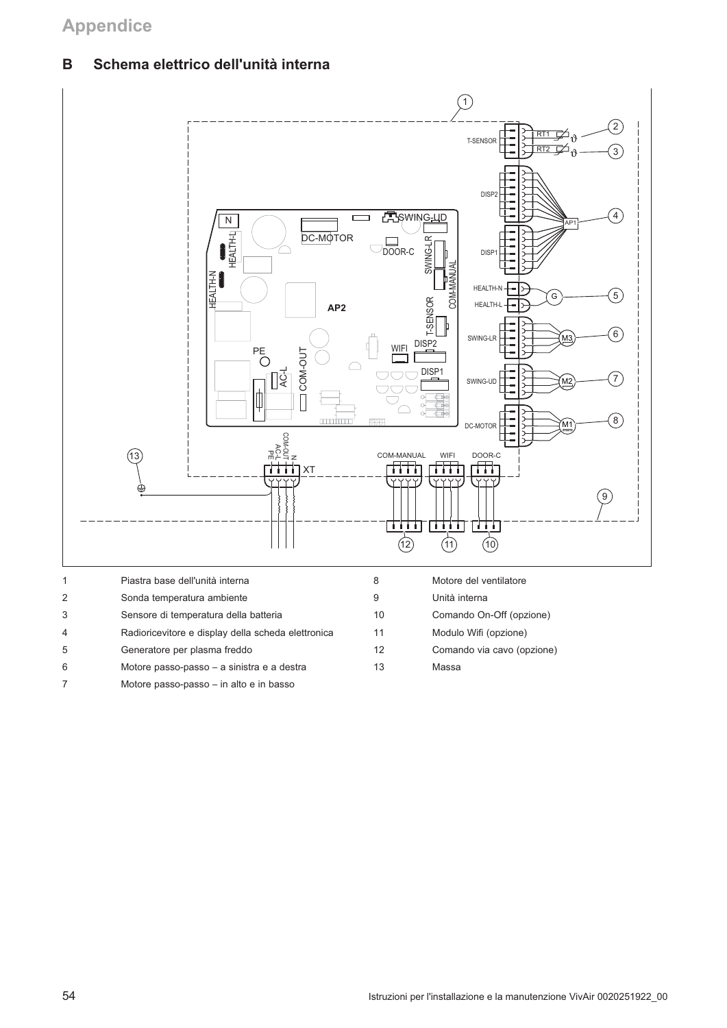## **Appendice**

### **B** chema elettrico dell'unità interna



| Sonda temperatura ambiente                         |    |
|----------------------------------------------------|----|
| Sensore di temperatura della batteria              | 10 |
| Radioricevitore e display della scheda elettronica | 11 |
| Generatore per plasma freddo                       | 12 |

| 8  | Motore del ventilatore     |
|----|----------------------------|
| 9  | Unità interna              |
| 10 | Comando On-Off (opzione)   |
| 11 | Modulo Wifi (opzione)      |
| 12 | Comando via cavo (opzione) |
| 13 | Massa                      |

6 Motore passo-passo - a sinistra e a destra 7 Motore passo-passo – in alto e in basso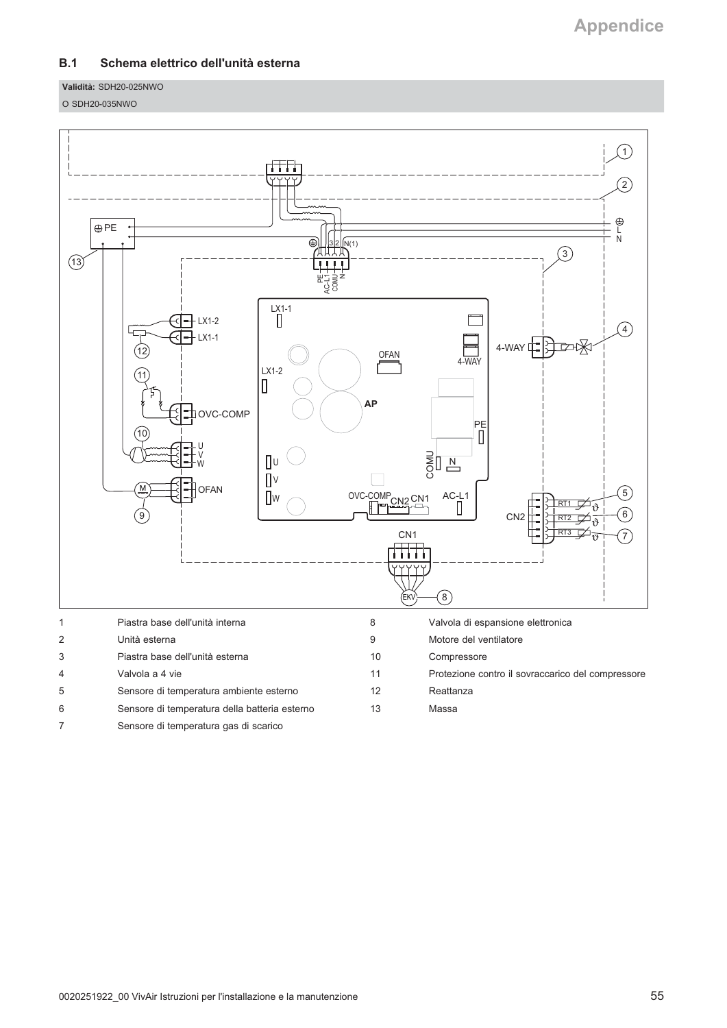#### $B.1$ Schema elettrico dell'unità esterna

Validità: SDH20-025NWO

O SDH20-035NWO



Sensore di temperatura gas di scarico  $\boldsymbol{7}$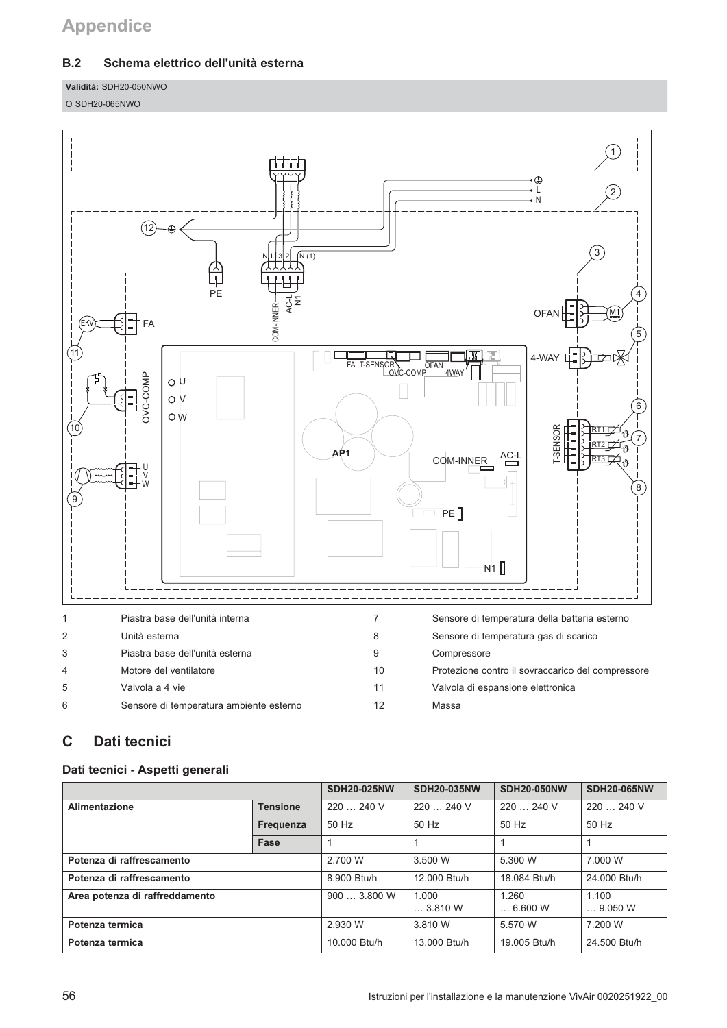# **Appendice**

### $B.2$ Schema elettrico dell'unità esterna

Validità: SDH20-050NWO

O SDH20-065NWO



### $\mathbf C$ Dati tecnici

### Dati tecnici - Aspetti generali

|                                |                 | <b>SDH20-025NW</b> | <b>SDH20-035NW</b>       | <b>SDH20-050NW</b>       | <b>SDH20-065NW</b>  |
|--------------------------------|-----------------|--------------------|--------------------------|--------------------------|---------------------|
| <b>Alimentazione</b>           | <b>Tensione</b> | 220  240 V         | 220  240 V               | 220  240 V               | 220  240 V          |
|                                | Frequenza       | 50 Hz              | 50 Hz                    | 50 Hz                    | 50 Hz               |
|                                | Fase            |                    |                          |                          |                     |
| Potenza di raffrescamento      |                 | 2.700 W            | 3.500 W                  | 5.300 W                  | 7.000 W             |
| Potenza di raffrescamento      |                 | 8.900 Btu/h        | 12,000 Btu/h             | 18.084 Btu/h             | 24.000 Btu/h        |
| Area potenza di raffreddamento |                 | 9003.800W          | 1.000<br>$\dots$ 3.810 W | 1.260<br>$\dots$ 6.600 W | 1.100<br>$$ 9.050 W |
| Potenza termica                |                 | 2.930 W            | 3.810 W                  | 5.570 W                  | 7.200 W             |
| Potenza termica                |                 | 10.000 Btu/h       | 13.000 Btu/h             | 19.005 Btu/h             | 24.500 Btu/h        |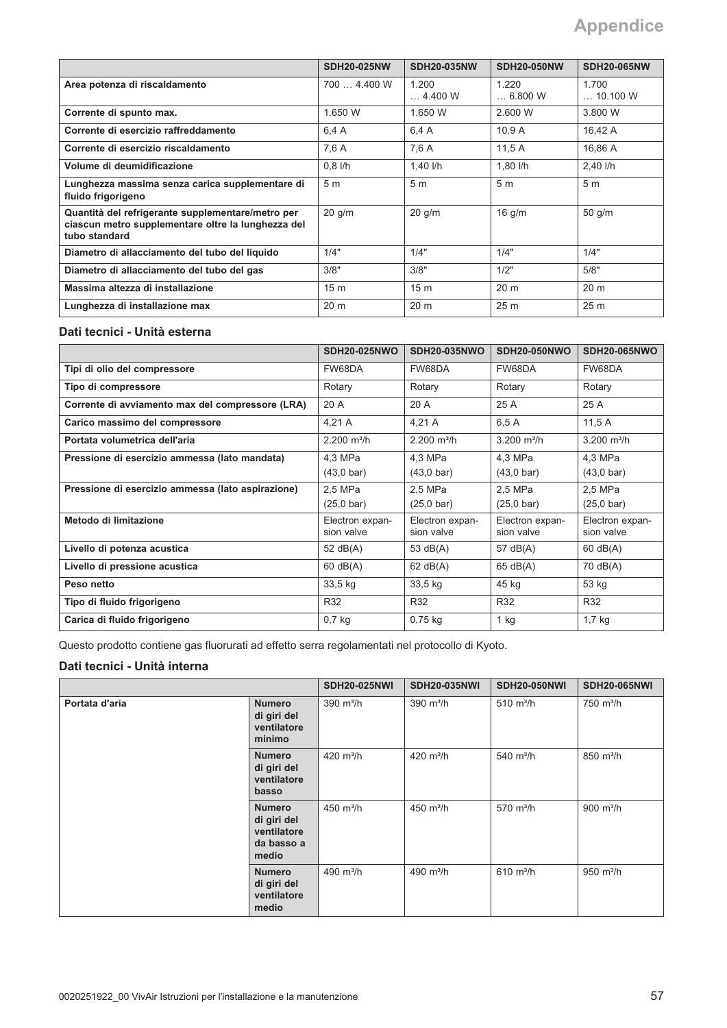|                                                                                                                          | <b>SDH20-025NW</b> | <b>SDH20-035NW</b>       | <b>SDH20-050NW</b>       | <b>SDH20-065NW</b>        |
|--------------------------------------------------------------------------------------------------------------------------|--------------------|--------------------------|--------------------------|---------------------------|
| Area potenza di riscaldamento                                                                                            | 700  4.400 W       | 1.200<br>$\dots$ 4.400 W | 1.220<br>$\dots$ 6.800 W | 1.700<br>$\dots$ 10.100 W |
| Corrente di spunto max.                                                                                                  | 1.650 W            | 1.650 W                  | 2.600 W                  | 3.800 W                   |
| Corrente di esercizio raffreddamento                                                                                     | 6.4 A              | 6.4 A                    | 10.9A                    | 16.42 A                   |
| Corrente di esercizio riscaldamento                                                                                      | 7,6 A              | 7,6 A                    | 11.5A                    | 16.86 A                   |
| Volume di deumidificazione                                                                                               | $0.8$ I/h          | 1,40 $I/h$               | 1,80 l/h                 | 2,40 l/h                  |
| Lunghezza massima senza carica supplementare di<br>fluido frigorigeno                                                    | 5 <sub>m</sub>     | 5 <sub>m</sub>           | 5 <sub>m</sub>           | 5 <sub>m</sub>            |
| Quantità del refrigerante supplementare/metro per<br>ciascun metro supplementare oltre la lunghezza del<br>tubo standard | $20$ g/m           | $20$ g/m                 | $16$ g/m                 | $50$ g/m                  |
| Diametro di allacciamento del tubo del liguido                                                                           | 1/4"               | 1/4"                     | 1/4"                     | 1/4"                      |
| Diametro di allacciamento del tubo del gas                                                                               | 3/8"               | 3/8"                     | 1/2"                     | 5/8"                      |
| Massima altezza di installazione                                                                                         | 15 <sub>m</sub>    | 15 <sub>m</sub>          | 20 <sub>m</sub>          | 20 <sub>m</sub>           |
| Lunghezza di installazione max                                                                                           | 20 <sub>m</sub>    | 20 <sub>m</sub>          | 25 <sub>m</sub>          | 25 <sub>m</sub>           |

### Dati tecnici - Unità esterna

|                                                   | <b>SDH20-025NWO</b>       | <b>SDH20-035NWO</b>       | <b>SDH20-050NWO</b>  | <b>SDH20-065NWO</b>       |
|---------------------------------------------------|---------------------------|---------------------------|----------------------|---------------------------|
| Tipi di olio del compressore                      | FW68DA                    | FW68DA                    | FW68DA               | FW68DA                    |
| Tipo di compressore                               | Rotary                    | Rotary                    | Rotary               | Rotary                    |
| Corrente di avviamento max del compressore (LRA)  | 20 A                      | 20 A                      | 25 A                 | 25 A                      |
| Carico massimo del compressore                    | 4,21 A                    | 4,21 A                    | 6,5 A                | 11,5 A                    |
| Portata volumetrica dell'aria                     | $2.200$ m <sup>3</sup> /h | $2.200$ m <sup>3</sup> /h | 3.200 $m^3/h$        | $3.200$ m <sup>3</sup> /h |
| Pressione di esercizio ammessa (lato mandata)     | 4,3 MPa                   | 4,3 MPa                   | 4,3 MPa              | 4,3 MPa                   |
|                                                   | $(43.0 \text{ bar})$      | $(43.0 \text{ bar})$      | $(43.0 \text{ bar})$ | $(43,0 \text{ bar})$      |
| Pressione di esercizio ammessa (lato aspirazione) | 2.5 MPa                   | 2.5 MPa                   | 2.5 MPa              | 2.5 MPa                   |
|                                                   | $(25,0 \text{ bar})$      | $(25,0 \text{ bar})$      | $(25.0 \text{ bar})$ | $(25,0 \text{ bar})$      |
| Metodo di limitazione                             | Electron expan-           | Electron expan-           | Electron expan-      | Electron expan-           |
|                                                   | sion valve                | sion valve                | sion valve           | sion valve                |
| Livello di potenza acustica                       | 52 $dB(A)$                | 53 dB(A)                  | 57 dB(A)             | $60$ dB(A)                |
| Livello di pressione acustica                     | $60$ dB(A)                | $62$ dB(A)                | 65 dB(A)             | 70 dB(A)                  |
| Peso netto                                        | 33,5 kg                   | $33,5$ kg                 | 45 kg                | 53 kg                     |
| Tipo di fluido frigorigeno                        | R32                       | R32                       | R32                  | R32                       |
| Carica di fluido frigorigeno                      | $0,7$ kg                  | $0,75$ kg                 | $1$ kg               | $1,7$ kg                  |

Questo prodotto contiene gas fluorurati ad effetto serra regolamentati nel protocollo di Kyoto.

### Dati tecnici - Unità interna

|                |                                                                    | <b>SDH20-025NWI</b>   | <b>SDH20-035NWI</b>   | <b>SDH20-050NWI</b>          | <b>SDH20-065NWI</b>          |
|----------------|--------------------------------------------------------------------|-----------------------|-----------------------|------------------------------|------------------------------|
| Portata d'aria | <b>Numero</b><br>di giri del<br>ventilatore<br>minimo              | $390 \text{ m}^3/h$   | $390 \text{ m}^3/h$   | $510 \; \text{m}^3/\text{h}$ | $750 \; \text{m}^3/\text{h}$ |
|                | <b>Numero</b><br>di giri del<br>ventilatore<br>basso               | 420 $m^3/h$           | 420 $m^3/h$           | $540 \; \text{m}^3/\text{h}$ | 850 m <sup>3</sup> /h        |
|                | <b>Numero</b><br>di giri del<br>ventilatore<br>da basso a<br>medio | 450 $m^3/h$           | 450 $m^3/h$           | $570 \; \text{m}^3/\text{h}$ | 900 $m^3/h$                  |
|                | <b>Numero</b><br>di giri del<br>ventilatore<br>medio               | 490 m <sup>3</sup> /h | 490 m <sup>3</sup> /h | $610 \; \text{m}^3/\text{h}$ | 950 $m^3/h$                  |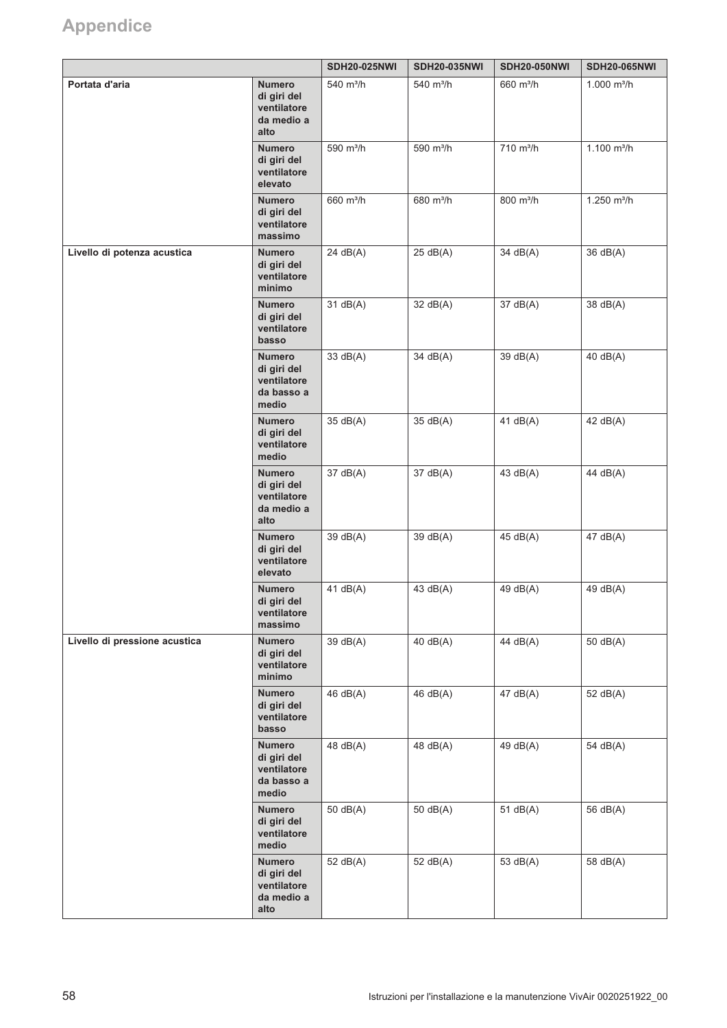# Appendice

|                               |                                                                    | <b>SDH20-025NWI</b>   | <b>SDH20-035NWI</b>   | <b>SDH20-050NWI</b>   | <b>SDH20-065NWI</b>       |
|-------------------------------|--------------------------------------------------------------------|-----------------------|-----------------------|-----------------------|---------------------------|
| Portata d'aria                | <b>Numero</b><br>di giri del<br>ventilatore<br>da medio a<br>alto  | 540 m <sup>3</sup> /h | 540 m <sup>3</sup> /h | 660 m <sup>3</sup> /h | $1.000$ m <sup>3</sup> /h |
|                               | <b>Numero</b><br>di giri del<br>ventilatore<br>elevato             | 590 m <sup>3</sup> /h | 590 m <sup>3</sup> /h | 710 m <sup>3</sup> /h | $1.100$ m <sup>3</sup> /h |
|                               | <b>Numero</b><br>di giri del<br>ventilatore<br>massimo             | 660 m <sup>3</sup> /h | 680 m <sup>3</sup> /h | 800 m <sup>3</sup> /h | $1.250$ m <sup>3</sup> /h |
| Livello di potenza acustica   | <b>Numero</b><br>di giri del<br>ventilatore<br>minimo              | 24 dB(A)              | 25 dB(A)              | 34 dB(A)              | 36 dB(A)                  |
|                               | <b>Numero</b><br>di giri del<br>ventilatore<br>basso               | 31 dB(A)              | 32 dB(A)              | 37 dB(A)              | 38 dB(A)                  |
|                               | <b>Numero</b><br>di giri del<br>ventilatore<br>da basso a<br>medio | 33 dB(A)              | 34 dB(A)              | 39 dB(A)              | 40 dB(A)                  |
|                               | <b>Numero</b><br>di giri del<br>ventilatore<br>medio               | 35 dB(A)              | 35 dB(A)              | 41 $dB(A)$            | 42 dB(A)                  |
|                               | <b>Numero</b><br>di giri del<br>ventilatore<br>da medio a<br>alto  | 37 dB(A)              | 37 dB(A)              | 43 $dB(A)$            | 44 dB(A)                  |
|                               | <b>Numero</b><br>di giri del<br>ventilatore<br>elevato             | 39 dB(A)              | 39 dB(A)              | 45 dB(A)              | 47 dB(A)                  |
|                               | <b>Numero</b><br>di giri del<br>ventilatore<br>massimo             | 41 $dB(A)$            | 43 dB(A)              | 49 dB(A)              | 49 dB(A)                  |
| Livello di pressione acustica | <b>Numero</b><br>di giri del<br>ventilatore<br>minimo              | 39 dB(A)              | 40 dB(A)              | 44 dB(A)              | $50$ dB(A)                |
|                               | <b>Numero</b><br>di giri del<br>ventilatore<br>basso               | 46 dB(A)              | 46 dB(A)              | 47 dB(A)              | 52 dB(A)                  |
|                               | <b>Numero</b><br>di giri del<br>ventilatore<br>da basso a<br>medio | 48 dB(A)              | 48 dB(A)              | 49 dB(A)              | 54 dB(A)                  |
|                               | <b>Numero</b><br>di giri del<br>ventilatore<br>medio               | 50 dB(A)              | 50 $dB(A)$            | 51 $dB(A)$            | 56 dB(A)                  |
|                               | <b>Numero</b><br>di giri del<br>ventilatore<br>da medio a<br>alto  | 52 dB(A)              | 52 dB(A)              | 53 dB(A)              | 58 dB(A)                  |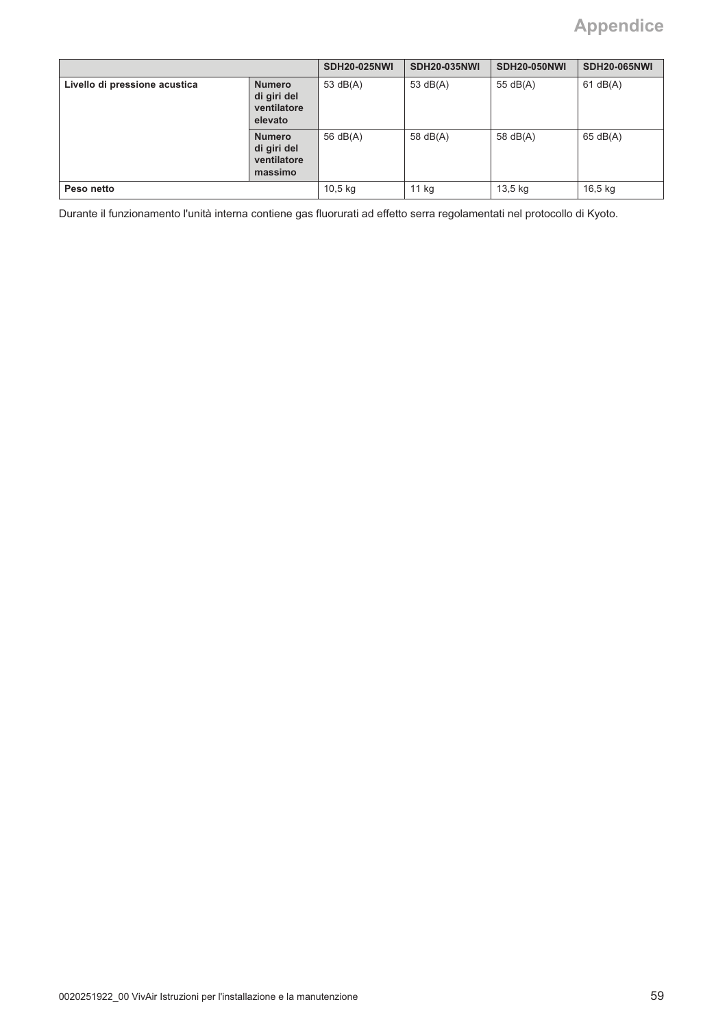# **Appendice**

|                               |                                                        | <b>SDH20-025NWI</b> | <b>SDH20-035NWI</b> | <b>SDH20-050NWI</b> | <b>SDH20-065NWI</b> |
|-------------------------------|--------------------------------------------------------|---------------------|---------------------|---------------------|---------------------|
| Livello di pressione acustica | <b>Numero</b><br>di giri del<br>ventilatore<br>elevato | 53 $dB(A)$          | 53 $dB(A)$          | 55 $dB(A)$          | 61 dB(A)            |
|                               | <b>Numero</b><br>di giri del<br>ventilatore<br>massimo | 56 dB(A)            | 58 $dB(A)$          | 58 $dB(A)$          | 65 dB(A)            |
| Peso netto                    |                                                        | $10,5$ kg           | 11 kg               | 13,5 kg             | $16,5$ kg           |

Durante il funzionamento l'unità interna contiene gas fluorurati ad effetto serra regolamentati nel protocollo di Kyoto.